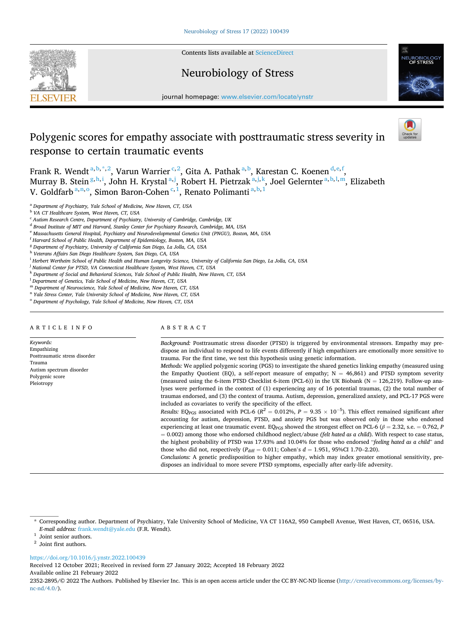

Contents lists available at [ScienceDirect](www.sciencedirect.com/science/journal/23522895)

# Neurobiology of Stress



journal homepage: [www.elsevier.com/locate/ynstr](https://www.elsevier.com/locate/ynstr) 

# Polygenic scores for empathy associate with posttraumatic stress severity in response to certain traumatic events

Frank R. Wendt<sup>a, b,\*,2</sup>, Varun Warrier<sup>c,2</sup>, Gita A. Pathak<sup>a, b</sup>, Karestan C. Koenen<sup>d, e, f</sup>, Murray B. Stein <sup>g, h, i</sup>, John H. Krystal <sup>a, j</sup>, Robert H. Pietrzak <sup>a, j, k</sup>, Joel Gelernter <sup>a, b, l, m</sup>, Elizabeth V. Goldfarb<sup>a,n,o</sup>, Simon Baron-Cohen<sup>c,1</sup>, Renato Polimanti<sup>a,b,1</sup>

<sup>a</sup> *Department of Psychiatry, Yale School of Medicine, New Haven, CT, USA* 

<sup>g</sup> *Department of Psychiatry, University of California San Diego, La Jolla, CA, USA* 

- <sup>i</sup> *Herbert Wertheim School of Public Health and Human Longevity Science, University of California San Diego, La Jolla, CA, USA*
- <sup>j</sup> National Center for PTSD, VA Connecticut Healthcare System, West Haven, CT, USA
- <sup>k</sup> *Department of Social and Behavioral Sciences, Yale School of Public Health, New Haven, CT, USA*
- <sup>l</sup> *Department of Genetics, Yale School of Medicine, New Haven, CT, USA*
- <sup>m</sup> *Department of Neuroscience, Yale School of Medicine, New Haven, CT, USA*
- <sup>n</sup> *Yale Stress Center, Yale University School of Medicine, New Haven, CT, USA*
- <sup>o</sup> *Department of Psychology, Yale School of Medicine, New Haven, CT, USA*

# ARTICLE INFO

*Keywords:*  Empathizing Posttraumatic stress disorder Trauma Autism spectrum disorder Polygenic score Pleiotropy

# ABSTRACT

*Background:* Posttraumatic stress disorder (PTSD) is triggered by environmental stressors. Empathy may predispose an individual to respond to life events differently if high empathizers are emotionally more sensitive to trauma. For the first time, we test this hypothesis using genetic information.

*Methods:* We applied polygenic scoring (PGS) to investigate the shared genetics linking empathy (measured using the Empathy Quotient (EQ), a self-report measure of empathy;  $N = 46,861$ ) and PTSD symptom severity (measured using the 6-item PTSD Checklist 6-item (PCL-6)) in the UK Biobank ( $N = 126,219$ ). Follow-up analyses were performed in the context of (1) experiencing any of 16 potential traumas, (2) the total number of traumas endorsed, and (3) the context of trauma. Autism, depression, generalized anxiety, and PCL-17 PGS were included as covariates to verify the specificity of the effect.

*Results: EQ*<sub>PGS</sub> associated with PCL-6 ( $R^2 = 0.012\%$ ,  $P = 9.35 \times 10^{-5}$ ). This effect remained significant after accounting for autism, depression, PTSD, and anxiety PGS but was observed only in those who endorsed experiencing at least one traumatic event. EQ<sub>PGS</sub> showed the strongest effect on PCL-6 ( $\beta$  = 2.32, s.e. = 0.762, *P* = 0.002) among those who endorsed childhood neglect/abuse *(felt hated as a child*). With respect to case status, the highest probability of PTSD was 17.93% and 10.04% for those who endorsed "*feeling hated as a child*" and those who did not, respectively ( $P_{\text{diff}} = 0.011$ ; Cohen's  $d = 1.951$ , 95%CI 1.70-2.20).

*Conclusions:* A genetic predisposition to higher empathy, which may index greater emotional sensitivity, predisposes an individual to more severe PTSD symptoms, especially after early-life adversity.

# <https://doi.org/10.1016/j.ynstr.2022.100439>

Available online 21 February 2022 Received 12 October 2021; Received in revised form 27 January 2022; Accepted 18 February 2022

2352-2895/© 2022 The Authors. Published by Elsevier Inc. This is an open access article under the CC BY-NC-ND license([http://creativecommons.org/licenses/by](http://creativecommons.org/licenses/by-nc-nd/4.0/)[nc-nd/4.0/](http://creativecommons.org/licenses/by-nc-nd/4.0/)).

<sup>b</sup> *VA CT Healthcare System, West Haven, CT, USA* 

<sup>c</sup> *Autism Research Centre, Department of Psychiatry, University of Cambridge, Cambridge, UK* 

<sup>d</sup> *Broad Institute of MIT and Harvard, Stanley Center for Psychiatry Research, Cambridge, MA, USA* 

<sup>e</sup> *Massachusetts General Hospital, Psychiatry and Neurodevelopmental Genetics Unit (PNGU), Boston, MA, USA* 

<sup>f</sup> *Harvard School of Public Health, Department of Epidemiology, Boston, MA, USA* 

<sup>h</sup> *Veterans Affairs San Diego Healthcare System, San Diego, CA, USA* 

<sup>\*</sup> Corresponding author. Department of Psychiatry, Yale University School of Medicine, VA CT 116A2, 950 Campbell Avenue, West Haven, CT, 06516, USA.  $E\text{-}mail$  address: [frank.wendt@yale.edu](mailto:frank.wendt@yale.edu) (F.R. Wendt).  $^1$  Joint senior authors.  $^2$  Joint first authors.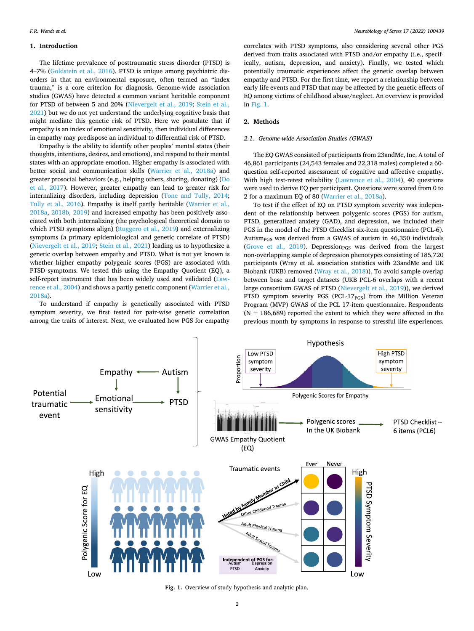# **1. Introduction**

The lifetime prevalence of posttraumatic stress disorder (PTSD) is 4–7% [\(Goldstein et al., 2016](#page-6-0)). PTSD is unique among psychiatric disorders in that an environmental exposure, often termed an "index trauma," is a core criterion for diagnosis. Genome-wide association studies (GWAS) have detected a common variant heritable component for PTSD of between 5 and 20% ([Nievergelt et al., 2019](#page-7-0); [Stein et al.,](#page-7-0)  [2021\)](#page-7-0) but we do not yet understand the underlying cognitive basis that might mediate this genetic risk of PTSD. Here we postulate that if empathy is an index of emotional sensitivity, then individual differences in empathy may predispose an individual to differential risk of PTSD.

Empathy is the ability to identify other peoples' mental states (their thoughts, intentions, desires, and emotions), and respond to their mental states with an appropriate emotion. Higher empathy is associated with better social and communication skills ([Warrier et al., 2018a](#page-7-0)) and greater prosocial behaviors (e.g., helping others, sharing, donating) ([Do](#page-6-0)  [et al., 2017](#page-6-0)). However, greater empathy can lead to greater risk for internalizing disorders, including depression ([Tone and Tully, 2014](#page-7-0); [Tully et al., 2016\)](#page-7-0). Empathy is itself partly heritable [\(Warrier et al.,](#page-7-0)  [2018a,](#page-7-0) [2018b,](#page-7-0) [2019\)](#page-7-0) and increased empathy has been positively associated with both internalizing (the psychological theoretical domain to which PTSD symptoms align) [\(Ruggero et al., 2019](#page-7-0)) and externalizing symptoms (a primary epidemiological and genetic correlate of PTSD) ([Nievergelt et al., 2019](#page-7-0); [Stein et al., 2021](#page-7-0)) leading us to hypothesize a genetic overlap between empathy and PTSD. What is not yet known is whether higher empathy polygenic scores (PGS) are associated with PTSD symptoms. We tested this using the Empathy Quotient (EQ), a self-report instrument that has been widely used and validated ([Law](#page-6-0)[rence et al., 2004\)](#page-6-0) and shows a partly genetic component [\(Warrier et al.,](#page-7-0)  [2018a\)](#page-7-0).

To understand if empathy is genetically associated with PTSD symptom severity, we first tested for pair-wise genetic correlation among the traits of interest. Next, we evaluated how PGS for empathy

correlates with PTSD symptoms, also considering several other PGS derived from traits associated with PTSD and/or empathy (i.e., specifically, autism, depression, and anxiety). Finally, we tested which potentially traumatic experiences affect the genetic overlap between empathy and PTSD. For the first time, we report a relationship between early life events and PTSD that may be affected by the genetic effects of EQ among victims of childhood abuse/neglect. An overview is provided in Fig. 1.

# **2. Methods**

# *2.1. Genome-wide Association Studies (GWAS)*

The EQ GWAS consisted of participants from 23andMe, Inc. A total of 46,861 participants (24,543 females and 22,318 males) completed a 60 question self-reported assessment of cognitive and affective empathy. With high test-retest reliability ([Lawrence et al., 2004\)](#page-6-0), 40 questions were used to derive EQ per participant. Questions were scored from 0 to 2 for a maximum EQ of 80 ([Warrier et al., 2018a\)](#page-7-0).

To test if the effect of EQ on PTSD symptom severity was independent of the relationship between polygenic scores (PGS) for autism, PTSD, generalized anxiety (GAD), and depression, we included their PGS in the model of the PTSD Checklist six-item questionnaire (PCL-6). Autism<sub>PGS</sub> was derived from a GWAS of autism in  $46,350$  individuals ([Grove et al., 2019](#page-6-0)). Depression $_{\rm PGS}$  was derived from the largest non-overlapping sample of depression phenotypes consisting of 185,720 participants (Wray et al. association statistics with 23andMe and UK Biobank (UKB) removed [\(Wray et al., 2018\)](#page-7-0)). To avoid sample overlap between base and target datasets (UKB PCL-6 overlaps with a recent large consortium GWAS of PTSD [\(Nievergelt et al., 2019\)](#page-7-0)), we derived PTSD symptom severity PGS (PCL-17<sub>PGS</sub>) from the Million Veteran Program (MVP) GWAS of the PCL 17-item questionnaire. Respondents  $(N = 186,689)$  reported the extent to which they were affected in the previous month by symptoms in response to stressful life experiences.



**Fig. 1.** Overview of study hypothesis and analytic plan.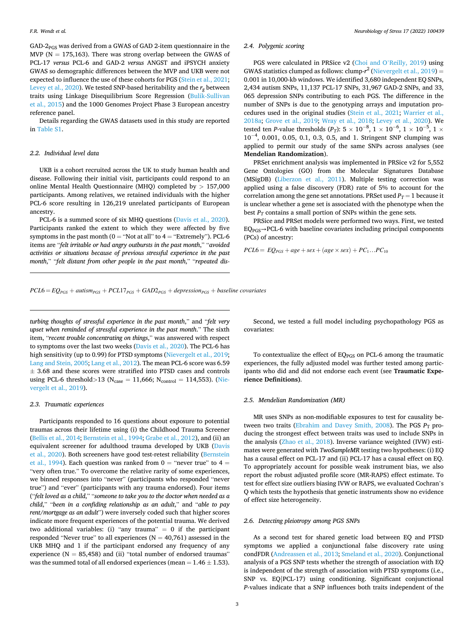$GAD-2<sub>PCS</sub>$  was derived from a GWAS of GAD 2-item questionnaire in the MVP ( $N = 175,163$ ). There was strong overlap between the GWAS of PCL-17 *versus* PCL-6 and GAD-2 *versus* ANGST and iPSYCH anxiety GWAS so demographic differences between the MVP and UKB were not expected to influence the use of these cohorts for PGS ([Stein et al., 2021](#page-7-0); [Levey et al., 2020](#page-6-0)). We tested SNP-based heritability and the  $r_g$  between traits using Linkage Disequilibrium Score Regression [\(Bulik-Sullivan](#page-6-0)  [et al., 2015\)](#page-6-0) and the 1000 Genomes Project Phase 3 European ancestry reference panel.

Details regarding the GWAS datasets used in this study are reported in Table S1.

# *2.2. Individual level data*

UKB is a cohort recruited across the UK to study human health and disease. Following their initial visit, participants could respond to an online Mental Health Questionnaire (MHQ) completed by *>* 157,000 participants. Among relatives, we retained individuals with the higher PCL-6 score resulting in 126,219 unrelated participants of European ancestry.

PCL-6 is a summed score of six MHQ questions [\(Davis et al., 2020](#page-6-0)). Participants ranked the extent to which they were affected by five symptoms in the past month ( $0 =$  "Not at all" to  $4 =$  "Extremely"). PCL-6 items are "*felt irritable or had angry outbursts in the past month*," "*avoided activities or situations because of previous stressful experience in the past month*," "*felt distant from other people in the past month*," "*repeated dis-*

## *2.4. Polygenic scoring*

PGS were calculated in PRSice v2 (Choi and O'[Reilly, 2019\)](#page-6-0) using GWAS statistics clumped as follows: clump- $r^2$  [\(Nievergelt et al., 2019\)](#page-7-0) = 0.001 in 10,000-kb windows. We identified 3,680 independent EQ SNPs, 2,434 autism SNPs, 11,137 PCL-17 SNPs, 31,967 GAD-2 SNPs, and 33, 065 depression SNPs contributing to each PGS. The difference in the number of SNPs is due to the genotyping arrays and imputation procedures used in the original studies [\(Stein et al., 2021;](#page-7-0) [Warrier et al.,](#page-7-0)  [2018a;](#page-7-0) [Grove et al., 2019](#page-6-0); [Wray et al., 2018;](#page-7-0) [Levey et al., 2020](#page-6-0)). We tested ten *P*-value thresholds (*P<sub>T</sub>*): 5  $\times$  10<sup>-8</sup>, 1  $\times$  10<sup>-6</sup>, 1  $\times$  10<sup>-5</sup>, 1  $\times$ 10<sup>-4</sup>, 0.001, 0.05, 0.1, 0.3, 0.5, and 1. Stringent SNP clumping was applied to permit our study of the same SNPs across analyses (see **Mendelian Randomization**).

PRSet enrichment analysis was implemented in PRSice v2 for 5,552 Gene Ontologies (GO) from the Molecular Signatures Database (MSigDB) ([Liberzon et al., 2011\)](#page-6-0). Multiple testing correction was applied using a false discovery (FDR) rate of 5% to account for the correlation among the gene set annotations. PRSet used  $P_T = 1$  because it is unclear whether a gene set is associated with the phenotype when the best  $P_T$  contains a small portion of SNPs within the gene sets.

PRSice and PRSet models were performed two ways. First, we tested  $EQ<sub>PGS</sub> \rightarrow PCL-6$  with baseline covariates including principal components (PCs) of ancestry:

 $PCL6 = EQ_{PGS} + age + sex + (age \times sex) + PC_1...PC_{10}$ 

 $PCL6 = EQ_{PGS} + autism_{PGS} + PCL17_{PGS} + GAD2_{PGS} + depression_{PGS} + baseline\ covariates$ 

*turbing thoughts of stressful experience in the past month*," and "*felt very upset when reminded of stressful experience in the past month*." The sixth item, "*recent trouble concentrating on things*," was answered with respect to symptoms over the last two weeks ([Davis et al., 2020\)](#page-6-0). The PCL-6 has high sensitivity (up to 0.99) for PTSD symptoms [\(Nievergelt et al., 2019](#page-7-0); [Lang and Stein, 2005; Lang et al., 2012](#page-6-0)). The mean PCL-6 score was 6.59  $\pm$  3.68 and these scores were stratified into PTSD cases and controls using PCL-6 threshold>13 (N<sub>case</sub> = 11,666; N<sub>control</sub> = 114,553). [\(Nie](#page-7-0)[vergelt et al., 2019\)](#page-7-0).

## *2.3. Traumatic experiences*

Participants responded to 16 questions about exposure to potential traumas across their lifetime using (i) the Childhood Trauma Screener ([Bellis et al., 2014; Bernstein et al., 1994](#page-6-0); [Grabe et al., 2012](#page-6-0)), and (ii) an equivalent screener for adulthood trauma developed by UKB [\(Davis](#page-6-0)  [et al., 2020\)](#page-6-0). Both screeners have good test-retest reliability ([Bernstein](#page-6-0)  [et al., 1994\)](#page-6-0). Each question was ranked from  $0 =$  "never true" to  $4 =$ "very often true." To overcome the relative rarity of some experiences, we binned responses into "never" (participants who responded "never true") and "ever" (participants with any trauma endorsed). Four items ("*felt loved as a child*," "*someone to take you to the doctor when needed as a child*," "*been in a confiding relationship as an adult*," and "*able to pay rent/mortgage as an adult*") were inversely coded such that higher scores indicate more frequent experiences of the potential trauma. We derived two additional variables: (i) "any trauma"  $= 0$  if the participant responded "Never true" to all experiences ( $N = 40,761$ ) assessed in the UKB MHQ and 1 if the participant endorsed any frequency of any experience ( $N = 85,458$ ) and (ii) "total number of endorsed traumas" was the summed total of all endorsed experiences (mean  $= 1.46 \pm 1.53$ ).

Second, we tested a full model including psychopathology PGS as covariates:

To contextualize the effect of  $EQ<sub>PGS</sub>$  on PCL-6 among the traumatic experiences, the fully adjusted model was further tested among participants who did and did not endorse each event (see **Traumatic Experience Definitions)**.

# *2.5. Mendelian Randomization (MR)*

MR uses SNPs as non-modifiable exposures to test for causality be-tween two traits ([Ebrahim and Davey Smith, 2008\)](#page-6-0). The PGS  $P_T$  producing the strongest effect between traits was used to include SNPs in the analysis [\(Zhao et al., 2018](#page-7-0)). Inverse variance weighted (IVW) estimates were generated with *TwoSampleMR* testing two hypotheses: (i) EQ has a causal effect on PCL-17 and (ii) PCL-17 has a causal effect on EQ. To appropriately account for possible weak instrument bias, we also report the robust adjusted profile score (MR-RAPS) effect estimate. To test for effect size outliers biasing IVW or RAPS, we evaluated Cochran's Q which tests the hypothesis that genetic instruments show no evidence of effect size heterogeneity.

## *2.6. Detecting pleiotropy among PGS SNPs*

As a second test for shared genetic load between EQ and PTSD symptoms we applied a conjunctional false discovery rate using condFDR ([Andreassen et al., 2013](#page-6-0); [Smeland et al., 2020](#page-7-0)). Conjunctional analysis of a PGS SNP tests whether the strength of association with EQ is independent of the strength of association with PTSD symptoms (i.e., SNP vs. EQ|PCL-17) using conditioning. Significant conjunctional *P*-values indicate that a SNP influences both traits independent of the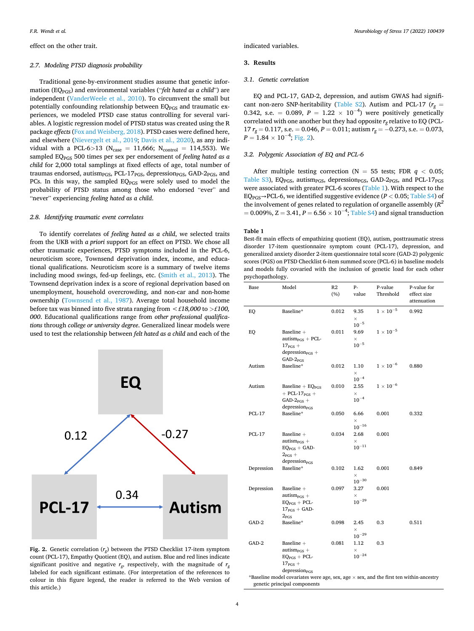effect on the other trait.

#### *2.7. Modeling PTSD diagnosis probability*

Traditional gene-by-environment studies assume that genetic information (EQPGS) and environmental variables ("*felt hated as a child*") are independent [\(VanderWeele et al., 2010\)](#page-7-0). To circumvent the small but potentially confounding relationship between  $EQ<sub>PGS</sub>$  and traumatic experiences, we modeled PTSD case status controlling for several variables. A logistic regression model of PTSD status was created using the R package *effects* [\(Fox and Weisberg, 2018\)](#page-6-0). PTSD cases were defined here, and elsewhere ([Nievergelt et al., 2019;](#page-7-0) [Davis et al., 2020\)](#page-6-0), as any individual with a PCL-6 $>$ 13 (N<sub>case</sub> = 11,666; N<sub>control</sub> = 114,553). We sampled EQPGS 500 times per sex per endorsement of *feeling hated as a child* for 2,000 total samplings at fixed effects of age, total number of traumas endorsed, autism<sub>PGS</sub>, PCL-17<sub>PGS</sub>, depression<sub>PGS</sub>, GAD-2<sub>PGS</sub>, and PCs. In this way, the sampled EQ<sub>PGS</sub> were solely used to model the probability of PTSD status among those who endorsed "ever" and "never" experiencing *feeling hated as a child*.

### *2.8. Identifying traumatic event correlates*

To identify correlates of *feeling hated as a child*, we selected traits from the UKB with *a priori* support for an effect on PTSD. We chose all other traumatic experiences, PTSD symptoms included in the PCL-6, neuroticism score, Townsend deprivation index, income, and educational qualifications. Neuroticism score is a summary of twelve items including mood swings, fed-up feelings, etc. [\(Smith et al., 2013](#page-7-0)). The Townsend deprivation index is a score of regional deprivation based on unemployment, household overcrowding, and non-car and non-home ownership ([Townsend et al., 1987\)](#page-7-0). Average total household income before tax was binned into five strata ranging from *<£18,000* to *>£100, 000*. Educational qualifications range from *other professional qualifications* through *college or university degree*. Generalized linear models were used to test the relationship between *felt hated as a child* and each of the



**Fig. 2.** Genetic correlation (*rg*) between the PTSD Checklist 17-item symptom count (PCL-17), Empathy Quotient (EQ), and autism. Blue and red lines indicate significant positive and negative  $r_{g}$ , respectively, with the magnitude of  $r_{g}$ labeled for each significant estimate. (For interpretation of the references to colour in this figure legend, the reader is referred to the Web version of this article.)

indicated variables.

# **3. Results**

# *3.1. Genetic correlation*

EQ and PCL-17, GAD-2, depression, and autism GWAS had significant non-zero SNP-heritability (Table S2). Autism and PCL-17 ( $r_g$  = 0.342, s.e. = 0.089,  $P = 1.22 \times 10^{-4}$ ) were positively genetically correlated with one another but they had opposite  $r_g$  relative to EQ (PCL-17  $r_g = 0.117$ , s.e. = 0.046,  $P = 0.011$ ; autism  $r_g = -0.273$ , s.e. = 0.073,  $P = 1.84 \times 10^{-4}$ ; Fig. 2).

## *3.2. Polygenic Association of EQ and PCL-6*

After multiple testing correction ( $N = 55$  tests; FDR  $q < 0.05$ ; Table S3), EQ<sub>PGS</sub>, autism<sub>PGS</sub>, depression<sub>PGS</sub>, GAD-2<sub>PGS</sub>, and PCL-17<sub>PGS</sub> were associated with greater PCL-6 scores (Table 1). With respect to the EQ<sub>PGS</sub>→PCL-6, we identified suggestive evidence ( $P < 0.05$ ; Table S4) of the involvement of genes related to regulation of organelle assembly (*R<sup>2</sup>*  $= 0.009\%$ , Z = 3.41,  $P = 6.56 \times 10^{-4}$ ; Table S4) and signal transduction

### **Table 1**

Best-fit main effects of empathizing quotient (EQ), autism, posttraumatic stress disorder 17-item questionnaire symptom count (PCL-17), depression, and generalized anxiety disorder 2-item questionnaire total score (GAD-2) polygenic scores (PGS) on PTSD Checklist 6-item summed score (PCL-6) in baseline models and models fully covaried with the inclusion of genetic load for each other psychopathology.

| Base                                                                                                                          | Model                                                                                                                              | R2<br>(%) | р.<br>value                    | P-value<br>Threshold | P-value for<br>effect size<br>attenuation |  |  |
|-------------------------------------------------------------------------------------------------------------------------------|------------------------------------------------------------------------------------------------------------------------------------|-----------|--------------------------------|----------------------|-------------------------------------------|--|--|
| EQ                                                                                                                            | Baseline*                                                                                                                          | 0.012     | 9.35<br>$\times$<br>$10^{-5}$  | $1\times10^{-5}$     | 0.992                                     |  |  |
| EQ                                                                                                                            | Baseline +<br>$autismPCS + PCL-$<br>$17_{\text{PGS}} +$<br>$depression_{PGS}$ +<br>$GAD-2PGS$                                      | 0.011     | 9.69<br>$\times$<br>$10^{-5}$  | $1\times10^{-5}$     |                                           |  |  |
| Autism                                                                                                                        | Baseline*                                                                                                                          | 0.012     | 1.10<br>$\times$<br>$10^{-4}$  | $1\times10^{-6}$     | 0.880                                     |  |  |
| Autism                                                                                                                        | Baseline + $EQPGS$<br>$+$ PCL-17 <sub>PGS</sub> +<br>$GAD-2_{PGS}$ +<br>depression <sub>PGS</sub>                                  | 0.010     | 2.55<br>×<br>$10^{-4}$         | $1\times10^{-6}$     |                                           |  |  |
| <b>PCL-17</b>                                                                                                                 | Baseline*                                                                                                                          | 0.050     | 6.66<br>$\times$<br>$10^{-16}$ | 0.001                | 0.332                                     |  |  |
| <b>PCL-17</b>                                                                                                                 | Baseline +<br>$autismPGS +$<br>$EQPGS + GAD-$<br>$2_{PGS}$ +<br>depression <sub>PGS</sub>                                          | 0.034     | 2.68<br>$\times$<br>$10^{-11}$ | 0.001                |                                           |  |  |
| Depression                                                                                                                    | Baseline*                                                                                                                          | 0.102     | 1.62<br>$\times$<br>$10^{-30}$ | 0.001                | 0.849                                     |  |  |
| Depression                                                                                                                    | Baseline $\hspace{0.1mm}$ +<br>autism <sub>p<math>GS</math></sub> +<br>$EQPGS + PCL-$<br>$17_{\text{PGS}}$ + GAD-<br>$2_{\rm PGS}$ | 0.097     | 3.27<br>$\times$<br>$10^{-29}$ | 0.001                |                                           |  |  |
| GAD-2                                                                                                                         | Baseline*                                                                                                                          | 0.098     | 2.45<br>$\times$<br>$10^{-29}$ | 0.3                  | 0.511                                     |  |  |
| GAD-2                                                                                                                         | Baseline +<br>$autismPGS +$<br>$EQPGS + PCL-$<br>$17_{\text{PGS}} +$<br>depression <sub>PGS</sub>                                  | 0.081     | 1.12<br>$\times$<br>$10^{-24}$ | 0.3                  |                                           |  |  |
| *Baseline model covariates were age, sex, age $\times$ sex, and the first ten within-ancestry<br>genetic principal components |                                                                                                                                    |           |                                |                      |                                           |  |  |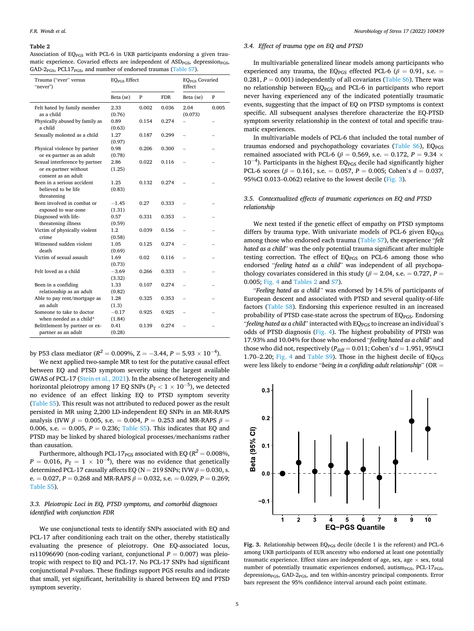#### **Table 2**

Association of EQ<sub>PGS</sub> with PCL-6 in UKB participants endorsing a given traumatic experience. Covaried effects are independent of ASD<sub>PGS</sub>, depression<sub>PGS</sub>, GAD-2 $_{PGS}$ , PCL17 $_{PGS}$ , and number of endorsed traumas (Table S7).

| Trauma ("ever" versus<br>"never")                                              | <b>EO</b> <sub>PGS</sub> Effect |       |            | <b>EQPGS</b> Covaried<br>Effect |       |
|--------------------------------------------------------------------------------|---------------------------------|-------|------------|---------------------------------|-------|
|                                                                                | Beta (se)                       | P     | <b>FDR</b> | Beta (se)                       | P     |
| Felt hated by family member<br>as a child                                      | 2.33<br>(0.76)                  | 0.002 | 0.036      | 2.04<br>(0.073)                 | 0.005 |
| Physically abused by family as<br>a child                                      | 0.89<br>(0.63)                  | 0.154 | 0.274      |                                 |       |
| Sexually molested as a child                                                   | 1.27<br>(0.97)                  | 0.187 | 0.299      |                                 |       |
| Physical violence by partner<br>or ex-partner as an adult                      | 0.98<br>(0.78)                  | 0.206 | 0.300      |                                 |       |
| Sexual interference by partner<br>or ex-partner without<br>consent as an adult | 2.86<br>(1.25)                  | 0.022 | 0.116      |                                 |       |
| Been in a serious accident<br>believed to be life<br>threatening               | 1.25<br>(0.83)                  | 0.132 | 0.274      |                                 |       |
| Been involved in combat or<br>exposed to war-zone                              | $-1.45$<br>(1.31)               | 0.27  | 0.333      |                                 |       |
| Diagnosed with life-<br>threatening illness                                    | 0.57<br>(0.59)                  | 0.331 | 0.353      |                                 |       |
| Victim of physically violent<br>crime                                          | $1.2\,$<br>(0.58)               | 0.039 | 0.156      |                                 |       |
| Witnessed sudden violent<br>death                                              | 1.05<br>(0.69)                  | 0.125 | 0.274      |                                 |       |
| Victim of sexual assault                                                       | 1.69<br>(0.73)                  | 0.02  | 0.116      |                                 |       |
| Felt loved as a child                                                          | $-3.69$<br>(3.32)               | 0.266 | 0.333      |                                 |       |
| Been in a confiding<br>relationship as an adult                                | 1.33<br>(0.82)                  | 0.107 | 0.274      |                                 |       |
| Able to pay rent/mortgage as<br>an adult                                       | 1.28<br>(1.3)                   | 0.325 | 0.353      |                                 |       |
| Someone to take to doctor<br>when needed as a child*                           | $-0.17$<br>(1.84)               | 0.925 | 0.925      |                                 |       |
| Belittlement by partner or ex-<br>partner as an adult                          | 0.41<br>(0.28)                  | 0.139 | 0.274      |                                 |       |

by P53 class mediator ( $R^2 = 0.009\%$ , Z = -3.44, P = 5.93  $\times$  10<sup>-4</sup>).

We next applied two-sample MR to test for the putative causal effect between EQ and PTSD symptom severity using the largest available GWAS of PCL-17 ([Stein et al., 2021\)](#page-7-0). In the absence of heterogeneity and horizontal pleiotropy among 17 EQ SNPs ( $P_{\rm T}$   $< 1 \times 10^{-5}$ ), we detected no evidence of an effect linking EQ to PTSD symptom severity (Table S5). This result was not attributed to reduced power as the result persisted in MR using 2,200 LD-independent EQ SNPs in an MR-RAPS analysis (IVW  $\beta = 0.005$ , s.e. = 0.004,  $P = 0.253$  and MR-RAPS  $\beta =$ 0.006, s.e.  $= 0.005$ ,  $P = 0.236$ ; Table S5). This indicates that EQ and PTSD may be linked by shared biological processes/mechanisms rather than causation.

Furthermore, although PCL-17<sub>PGS</sub> associated with EQ ( $R^2 = 0.008\%$ ,  $P = 0.016, P_{\text{T}} = 1 \times 10^{-4}$ ), there was no evidence that genetically determined PCL-17 causally affects EQ (N = 219 SNPs; IVW  $β = 0.030$ , s. e. = 0.027,  $P = 0.268$  and MR-RAPS  $\beta = 0.032$ , s.e. = 0.029,  $P = 0.269$ ; Table S5).

# *3.3. Pleiotropic Loci in EQ, PTSD symptoms, and comorbid diagnoses identified with conjunction FDR*

We use conjunctional tests to identify SNPs associated with EQ and PCL-17 after conditioning each trait on the other, thereby statistically evaluating the presence of pleiotropy. One EQ-associated locus, rs11096690 (non-coding variant, conjunctional  $P = 0.007$ ) was pleiotropic with respect to EQ and PCL-17. No PCL-17 SNPs had significant conjunctional *P*-values. These findings support PGS results and indicate that small, yet significant, heritability is shared between EQ and PTSD symptom severity.

# *3.4. Effect of trauma type on EQ and PTSD*

In multivariable generalized linear models among participants who experienced any trauma, the EQ<sub>PGS</sub> effected PCL-6 ( $\beta$  = 0.91, s.e. = 0.281,  $P = 0.001$ ) independently of all covariates (Table S6). There was no relationship between EQPGS and PCL-6 in participants who report never having experienced any of the indicated potentially traumatic events, suggesting that the impact of EQ on PTSD symptoms is context specific. All subsequent analyses therefore characterize the EQ-PTSD symptom severity relationship in the context of total and specific traumatic experiences.

In multivariable models of PCL-6 that included the total number of traumas endorsed and psychopathology covariates (Table S6), EQ<sub>PGS</sub> remained associated with PCL-6 ( $\beta$  = 0.569, s.e. = 0.172, P = 9.34  $\times$  $10^{-4}$ ). Participants in the highest EQ<sub>PGS</sub> decile had significantly higher PCL-6 scores ( $\beta$  = 0.161, s.e. = 0.057, P = 0.005; Cohen's  $d$  = 0.037, 95%CI 0.013–0.062) relative to the lowest decile (Fig. 3).

# *3.5. Contextualized effects of traumatic experiences on EQ and PTSD relationship*

We next tested if the genetic effect of empathy on PTSD symptoms differs by trauma type. With univariate models of PCL-6 given  $EQ<sub>PGS</sub>$ among those who endorsed each trauma (Table S7), the experience "*felt hated as a child*" was the only potential trauma significant after multiple testing correction. The effect of EQ<sub>PGS</sub> on PCL-6 among those who endorsed "*feeling hated as a child*" was independent of all psychopathology covariates considered in this study ( $\beta$  = 2.04, s.e. = 0.727, *P* = 0.005; [Fig. 4](#page-5-0) and Tables 2 and S7).

"*Feeling hated as a child"* was endorsed by 14.5% of participants of European descent and associated with PTSD and several quality-of-life factors (Table S8). Endorsing this experience resulted in an increased probability of PTSD case-state across the spectrum of  $EQ_{PGS}$ . Endorsing "*feeling hated as a child*" interacted with EQ<sub>PGS</sub> to increase an individual's odds of PTSD diagnosis ([Fig. 4](#page-5-0)). The highest probability of PTSD was 17.93% and 10.04% for those who endorsed "*feeling hated as a child*" and those who did not, respectively  $(P_{diff} = 0.011; \text{Cohen's } d = 1.951, 95\% \text{CI}$ 1.70–2.20; [Fig. 4](#page-5-0) and Table S9). Those in the highest decile of  $EQ<sub>PGS</sub>$ were less likely to endorse "*being in a confiding adult relationship*" (OR =



Fig. 3. Relationship between EQ<sub>PGS</sub> decile (decile 1 is the referent) and PCL-6 among UKB participants of EUR ancestry who endorsed at least one potentially traumatic experience. Effect sizes are independent of age, sex, age  $\times$  sex, total number of potentially traumatic experiences endorsed, autism<sub>PGS</sub>, PCL-17<sub>PGS</sub>, depression $_{\rm PGS}$ , GAD-2 $_{\rm PGS}$ , and ten within-ancestry principal components. Error bars represent the 95% confidence interval around each point estimate.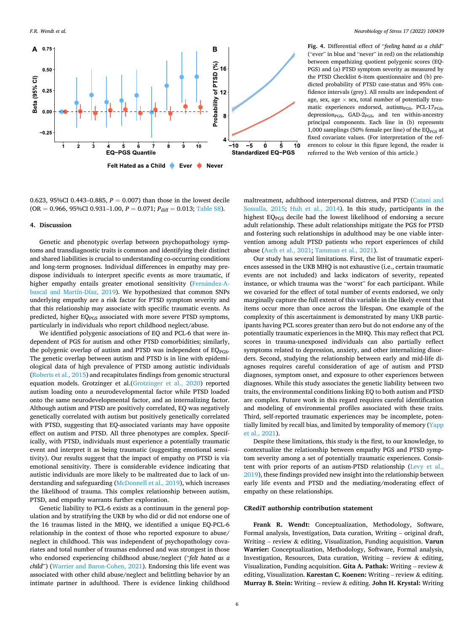<span id="page-5-0"></span>

**Fig. 4.** Differential effect of "*feeling hated as a child*" ("ever" in blue and "never" in red) on the relationship between empathizing quotient polygenic scores (EQ-PGS) and (a) PTSD symptom severity as measured by the PTSD Checklist 6-item questionnaire and (b) predicted probability of PTSD case-status and 95% confidence intervals (grey). All results are independent of age, sex, age  $\times$  sex, total number of potentially traumatic experiences endorsed, autism<sub>PGS</sub>, PCL-17<sub>PGS</sub>, depression<sub>PGS</sub>, GAD-2<sub>PGS</sub>, and ten within-ancestry principal components. Each line in (b) represents 1,000 samplings (50% female per line) of the  $EQ<sub>PGS</sub>$  at fixed covariate values. (For interpretation of the references to colour in this figure legend, the reader is referred to the Web version of this article.)

0.623, 95%CI 0.443–0.885,  $P = 0.007$  than those in the lowest decile  $(OR = 0.966, 95\% CI 0.931-1.00, P = 0.071; P_{diff} = 0.013;$  Table S8).

# **4. Discussion**

Genetic and phenotypic overlap between psychopathology symptoms and transdiagnostic traits is common and identifying their distinct and shared liabilities is crucial to understanding co-occurring conditions and long-term prognoses. Individual differences in empathy may predispose individuals to interpret specific events as more traumatic, if higher empathy entails greater emotional sensitivity (Fernández-A[bascal and Martín-Díaz, 2019](#page-6-0)). We hypothesized that common SNPs underlying empathy are a risk factor for PTSD symptom severity and that this relationship may associate with specific traumatic events. As predicted, higher EQ<sub>PGS</sub> associated with more severe PTSD symptoms, particularly in individuals who report childhood neglect/abuse.

We identified polygenic associations of EQ and PCL-6 that were independent of PGS for autism and other PTSD comorbidities; similarly, the polygenic overlap of autism and PTSD was independent of  $EQ<sub>PGS</sub>$ . The genetic overlap between autism and PTSD is in line with epidemiological data of high prevalence of PTSD among autistic individuals ([Roberts et al., 2015](#page-7-0)) and recapitulates findings from genomic structural equation models. Grotzinger et al.[\(Grotzinger et al., 2020\)](#page-6-0) reported autism loading onto a neurodevelopmental factor while PTSD loaded onto the same neurodevelopmental factor, and an internalizing factor. Although autism and PTSD are positively correlated, EQ was negatively genetically correlated with autism but positively genetically correlated with PTSD, suggesting that EQ-associated variants may have opposite effect on autism and PTSD. All three phenotypes are complex. Specifically, with PTSD, individuals must experience a potentially traumatic event and interpret it as being traumatic (suggesting emotional sensitivity). Our results suggest that the impact of empathy on PTSD is via emotional sensitivity. There is considerable evidence indicating that autistic individuals are more likely to be maltreated due to lack of understanding and safeguarding [\(McDonnell et al., 2019](#page-7-0)), which increases the likelihood of trauma. This complex relationship between autism, PTSD, and empathy warrants further exploration.

Genetic liability to PCL-6 exists as a continuum in the general population and by stratifying the UKB by who did or did not endorse one of the 16 traumas listed in the MHQ, we identified a unique EQ-PCL-6 relationship in the context of those who reported exposure to abuse/ neglect in childhood. This was independent of psychopathology covariates and total number of traumas endorsed and was strongest in those who endorsed experiencing childhood abuse/neglect ("*felt hated as a child*") ([Warrier and Baron-Cohen, 2021](#page-7-0)). Endorsing this life event was associated with other child abuse/neglect and belittling behavior by an intimate partner in adulthood. There is evidence linking childhood

maltreatment, adulthood interpersonal distress, and PTSD [\(Catani and](#page-6-0)  [Sossalla, 2015](#page-6-0); [Huh et al., 2014](#page-6-0)). In this study, participants in the highest EQPGS decile had the lowest likelihood of endorsing a secure adult relationship. These adult relationships mitigate the PGS for PTSD and fostering such relationships in adulthood may be one viable intervention among adult PTSD patients who report experiences of child abuse [\(Asch et al., 2021;](#page-6-0) [Tamman et al., 2021\)](#page-7-0).

Our study has several limitations. First, the list of traumatic experiences assessed in the UKB MHQ is not exhaustive (i.e., certain traumatic events are not included) and lacks indicators of severity, repeated instance, or which trauma was the "worst" for each participant. While we covaried for the effect of total number of events endorsed, we only marginally capture the full extent of this variable in the likely event that items occur more than once across the lifespan. One example of the complexity of this ascertainment is demonstrated by many UKB participants having PCL scores greater than zero but do not endorse any of the potentially traumatic experiences in the MHQ. This may reflect that PCL scores in trauma-unexposed individuals can also partially reflect symptoms related to depression, anxiety, and other internalizing disorders. Second, studying the relationship between early and mid-life diagnoses requires careful consideration of age of autism and PTSD diagnoses, symptom onset, and exposure to other experiences between diagnoses. While this study associates the genetic liability between two traits, the environmental conditions linking EQ to both autism and PTSD are complex. Future work in this regard requires careful identification and modeling of environmental profiles associated with these traits. Third, self-reported traumatic experiences may be incomplete, potentially limited by recall bias, and limited by temporality of memory ([Yapp](#page-7-0)  [et al., 2021\)](#page-7-0).

Despite these limitations, this study is the first, to our knowledge, to contextualize the relationship between empathy PGS and PTSD symptom severity among a set of potentially traumatic experiences. Consistent with prior reports of an autism-PTSD relationship ([Levy et al.,](#page-6-0)  [2019\)](#page-6-0), these findings provided new insight into the relationship between early life events and PTSD and the mediating/moderating effect of empathy on these relationships.

# **CRediT authorship contribution statement**

**Frank R. Wendt:** Conceptualization, Methodology, Software, Formal analysis, Investigation, Data curation, Writing – original draft, Writing – review & editing, Visualization, Funding acquisition. **Varun Warrier:** Conceptualization, Methodology, Software, Formal analysis, Investigation, Resources, Data curation, Writing – review  $\&$  editing, Visualization, Funding acquisition. **Gita A. Pathak:** Writing – review & editing, Visualization. **Karestan C. Koenen:** Writing – review & editing. **Murray B. Stein:** Writing – review & editing. **John H. Krystal:** Writing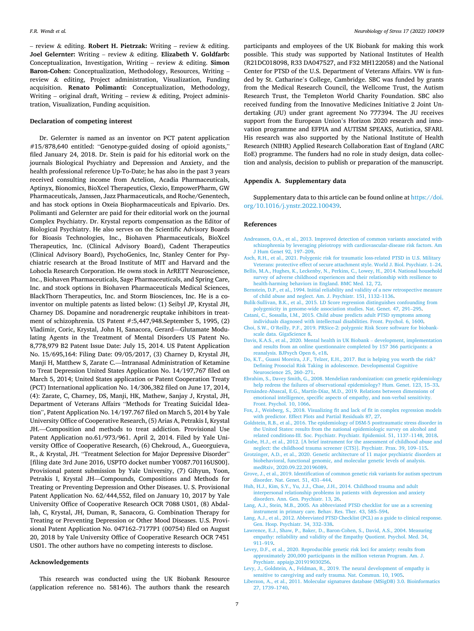<span id="page-6-0"></span>– review & editing. **Robert H. Pietrzak:** Writing – review & editing. **Joel Gelernter:** Writing – review & editing. **Elizabeth V. Goldfarb:**  Conceptualization, Investigation, Writing – review & editing. **Simon Baron-Cohen:** Conceptualization, Methodology, Resources, Writing – review & editing, Project administration, Visualization, Funding acquisition. **Renato Polimanti:** Conceptualization, Methodology, Writing – original draft, Writing – review  $\&$  editing, Project administration, Visualization, Funding acquisition.

## **Declaration of competing interest**

Dr. Gelernter is named as an inventor on PCT patent application #15/878,640 entitled: "Genotype-guided dosing of opioid agonists," filed January 24, 2018. Dr. Stein is paid for his editorial work on the journals Biological Psychiatry and Depression and Anxiety, and the health professional reference Up-To-Date; he has also in the past 3 years received consulting income from Actelion, Acadia Pharmaceuticals, Aptinyx, Bionomics, BioXcel Therapeutics, Clexio, EmpowerPharm, GW Pharmaceuticals, Janssen, Jazz Pharmaceuticals, and Roche/Genentech, and has stock options in Oxeia Biopharmaceuticals and Epivario. Drs. Polimanti and Gelernter are paid for their editorial work on the journal Complex Psychiatry. Dr. Krystal reports compensation as the Editor of Biological Psychiatry. He also serves on the Scientific Advisory Boards for Bioasis Technologies, Inc., Biohaven Pharmaceuticals, BioXcel Therapeutics, Inc. (Clinical Advisory Board), Cadent Therapeutics (Clinical Advisory Board), PsychoGenics, Inc, Stanley Center for Psychiatric research at the Broad Institute of MIT and Harvard and the Lohocla Research Corporation. He owns stock in ArRETT Neuroscience, Inc., Biohaven Pharmaceuticals, Sage Pharmaceuticals, and Spring Care, Inc. and stock options in Biohaven Pharmaceuticals Medical Sciences, BlackThorn Therapeutics, Inc. and Storm Biosciences, Inc. He is a coinventor on multiple patents as listed below: (1) Seibyl JP, Krystal JH, Charney DS. Dopamine and noradrenergic reuptake inhibitors in treatment of schizophrenia. US Patent #:5,447,948.September 5, 1995, (2) Vladimir, Coric, Krystal, John H, Sanacora, Gerard—Glutamate Modulating Agents in the Treatment of Mental Disorders US Patent No. 8,778,979 B2 Patent Issue Date: July 15, 2014. US Patent Application No. 15/695,164: Filing Date: 09/05/2017, (3) Charney D, Krystal JH, Manji H, Matthew S, Zarate C.—Intranasal Administration of Ketamine to Treat Depression United States Application No. 14/197,767 filed on March 5, 2014; United States application or Patent Cooperation Treaty (PCT) International application No. 14/306,382 filed on June 17, 2014, (4): Zarate, C, Charney, DS, Manji, HK, Mathew, Sanjay J, Krystal, JH, Department of Veterans Affairs "Methods for Treating Suicidal Ideation", Patent Application No. 14/197.767 filed on March 5, 2014 by Yale University Office of Cooperative Research, (5) Arias A, Petrakis I, Krystal JH.—Composition and methods to treat addiction. Provisional Use Patent Application no.61/973/961. April 2, 2014. Filed by Yale University Office of Cooperative Research, (6) Chekroud, A., Gueorguieva, R., & Krystal, JH. "Treatment Selection for Major Depressive Disorder" [filing date 3rd June 2016, USPTO docket number Y0087.70116US00]. Provisional patent submission by Yale University, (7) Gihyun, Yoon, Petrakis I, Krystal JH—Compounds, Compositions and Methods for Treating or Preventing Depression and Other Diseases. U. S. Provisional Patent Application No. 62/444,552, filed on January 10, 2017 by Yale University Office of Cooperative Research OCR 7088 US01, (8) Abdallah, C, Krystal, JH, Duman, R, Sanacora, G. Combination Therapy for Treating or Preventing Depression or Other Mood Diseases. U.S. Provisional Patent Application No. 047162–7177P1 (00754) filed on August 20, 2018 by Yale University Office of Cooperative Research OCR 7451 US01. The other authors have no competing interests to disclose.

# **Acknowledgements**

This research was conducted using the UK Biobank Resource (application reference no. 58146). The authors thank the research

participants and employees of the UK Biobank for making this work possible. This study was supported by National Institutes of Health (R21DC018098, R33 DA047527, and F32 MH122058) and the National Center for PTSD of the U.S. Department of Veterans Affairs. VW is funded by St. Catharine's College, Cambridge. SBC was funded by grants from the Medical Research Council, the Wellcome Trust, the Autism Research Trust, the Templeton World Charity Foundation. SBC also received funding from the Innovative Medicines Initiative 2 Joint Undertaking (JU) under grant agreement No 777394. The JU receives support from the European Union's Horizon 2020 research and innovation programme and EFPIA and AUTISM SPEAKS, Autistica, SFARI. His research was also supported by the National Institute of Health Research (NIHR) Applied Research Collaboration East of England (ARC EoE) programme. The funders had no role in study design, data collection and analysis, decision to publish or preparation of the manuscript.

## **Appendix A. Supplementary data**

Supplementary data to this article can be found online at [https://doi.](https://doi.org/10.1016/j.ynstr.2022.100439)  [org/10.1016/j.ynstr.2022.100439.](https://doi.org/10.1016/j.ynstr.2022.100439)

## **References**

- [Andreassen, O.A., et al., 2013. Improved detection of common variants associated with](http://refhub.elsevier.com/S2352-2895(22)00014-5/sref1)  [schizophrenia by leveraging pleiotropy with cardiovascular-disease risk factors. Am](http://refhub.elsevier.com/S2352-2895(22)00014-5/sref1)  [J Hum Genet 92, 197](http://refhub.elsevier.com/S2352-2895(22)00014-5/sref1)–209.
- [Asch, R.H., et al., 2021. Polygenic risk for traumatic loss-related PTSD in U.S. Military](http://refhub.elsevier.com/S2352-2895(22)00014-5/sref2)  [Veterans: protective effect of secure attachment style. World J. Biol. Psychiatr. 1](http://refhub.elsevier.com/S2352-2895(22)00014-5/sref2)–24.
- [Bellis, M.A., Hughes, K., Leckenby, N., Perkins, C., Lowey, H., 2014. National household](http://refhub.elsevier.com/S2352-2895(22)00014-5/sref3)  [survey of adverse childhood experiences and their relationship with resilience to](http://refhub.elsevier.com/S2352-2895(22)00014-5/sref3) [health-harming behaviors in England. BMC Med. 12, 72](http://refhub.elsevier.com/S2352-2895(22)00014-5/sref3).
- [Bernstein, D.P., et al., 1994. Initial reliability and validity of a new retrospective measure](http://refhub.elsevier.com/S2352-2895(22)00014-5/sref4)  [of child abuse and neglect. Am. J. Psychiatr. 151, 1132](http://refhub.elsevier.com/S2352-2895(22)00014-5/sref4)–1136.
- [Bulik-Sullivan, B.K., et al., 2015. LD Score regression distinguishes confounding from](http://refhub.elsevier.com/S2352-2895(22)00014-5/sref5)  [polygenicity in genome-wide association studies. Nat. Genet. 47, 291](http://refhub.elsevier.com/S2352-2895(22)00014-5/sref5)–295.
- [Catani, C., Sossalla, I.M., 2015. Child abuse predicts adult PTSD symptoms among](http://refhub.elsevier.com/S2352-2895(22)00014-5/sref6)  [individuals diagnosed with intellectual disabilities. Front. Psychol. 6, 1600.](http://refhub.elsevier.com/S2352-2895(22)00014-5/sref6)
- Choi, S.W., O'[Reilly, P.F., 2019. PRSice-2: polygenic Risk Score software for biobank](http://refhub.elsevier.com/S2352-2895(22)00014-5/sref7)[scale data. GigaScience 8](http://refhub.elsevier.com/S2352-2895(22)00014-5/sref7).
- [Davis, K.A.S., et al., 2020. Mental health in UK Biobank](http://refhub.elsevier.com/S2352-2895(22)00014-5/sref8)  development, implementation [and results from an online questionnaire completed by 157 366 participants: a](http://refhub.elsevier.com/S2352-2895(22)00014-5/sref8) [reanalysis. BJPsych Open 6, e18.](http://refhub.elsevier.com/S2352-2895(22)00014-5/sref8)
- [Do, K.T., Guassi Moreira, J.F., Telzer, E.H., 2017. But is helping you worth the risk?](http://refhub.elsevier.com/S2352-2895(22)00014-5/sref9)  [Defining Prosocial Risk Taking in adolescence. Developmental Cognitive](http://refhub.elsevier.com/S2352-2895(22)00014-5/sref9) [Neuroscience 25, 260](http://refhub.elsevier.com/S2352-2895(22)00014-5/sref9)–271.
- [Ebrahim, S., Davey Smith, G., 2008. Mendelian randomization: can genetic epidemiology](http://refhub.elsevier.com/S2352-2895(22)00014-5/sref10)  [help redress the failures of observational epidemiology? Hum. Genet. 123, 15](http://refhub.elsevier.com/S2352-2895(22)00014-5/sref10)–33.
- Fernández-Abascal, E.G., Martín-Díaz, M.D., 2019. Relations between dimensions of [emotional intelligence, specific aspects of empathy, and non-verbal sensitivity.](http://refhub.elsevier.com/S2352-2895(22)00014-5/sref11)  [Front. Psychol. 10, 1066.](http://refhub.elsevier.com/S2352-2895(22)00014-5/sref11)
- [Fox, J., Weisberg, S., 2018. Visualizing fit and lack of fit in complex regression models](http://refhub.elsevier.com/S2352-2895(22)00014-5/sref12)  [with predictor. Effect Plots and Partial Residuals 87, 27.](http://refhub.elsevier.com/S2352-2895(22)00014-5/sref12)
- [Goldstein, R.B., et al., 2016. The epidemiology of DSM-5 posttraumatic stress disorder in](http://refhub.elsevier.com/S2352-2895(22)00014-5/sref13)  [the United States: results from the national epidemiologic survey on alcohol and](http://refhub.elsevier.com/S2352-2895(22)00014-5/sref13)  [related conditions-III. Soc. Psychiatr. Psychiatr. Epidemiol. 51, 1137](http://refhub.elsevier.com/S2352-2895(22)00014-5/sref13)–1148, 2018.
- [Grabe, H.J., et al., 2012. \[A brief instrument for the assessment of childhood abuse and](http://refhub.elsevier.com/S2352-2895(22)00014-5/sref14)  [neglect: the childhood trauma screener \(CTS\)\]. Psychiatr. Prax. 39, 109](http://refhub.elsevier.com/S2352-2895(22)00014-5/sref14)–115.
- [Grotzinger, A.D., et al., 2020. Genetic architecture of 11 major psychiatric disorders at](http://refhub.elsevier.com/S2352-2895(22)00014-5/sref15)  [biobehavioral, functional genomic, and molecular genetic levels of analysis.](http://refhub.elsevier.com/S2352-2895(22)00014-5/sref15) [medRxiv, 2020.09.22.20196089](http://refhub.elsevier.com/S2352-2895(22)00014-5/sref15).
- [Grove, J., et al., 2019. Identification of common genetic risk variants for autism spectrum](http://refhub.elsevier.com/S2352-2895(22)00014-5/sref16)  [disorder. Nat. Genet. 51, 431](http://refhub.elsevier.com/S2352-2895(22)00014-5/sref16)–444.
- [Huh, H.J., Kim, S.Y., Yu, J.J., Chae, J.H., 2014. Childhood trauma and adult](http://refhub.elsevier.com/S2352-2895(22)00014-5/sref17) [interpersonal relationship problems in patients with depression and anxiety](http://refhub.elsevier.com/S2352-2895(22)00014-5/sref17) [disorders. Ann. Gen. Psychiatr. 13, 26.](http://refhub.elsevier.com/S2352-2895(22)00014-5/sref17)
- [Lang, A.J., Stein, M.B., 2005. An abbreviated PTSD checklist for use as a screening](http://refhub.elsevier.com/S2352-2895(22)00014-5/sref18)  [instrument in primary care. Behav. Res. Ther. 43, 585](http://refhub.elsevier.com/S2352-2895(22)00014-5/sref18)–594.
- [Lang, A.J., et al., 2012. Abbreviated PTSD Checklist \(PCL\) as a guide to clinical response.](http://refhub.elsevier.com/S2352-2895(22)00014-5/sref19)  [Gen. Hosp. Psychiatr. 34, 332](http://refhub.elsevier.com/S2352-2895(22)00014-5/sref19)–338.
- [Lawrence, E.J., Shaw, P., Baker, D., Baron-Cohen, S., David, A.S., 2004. Measuring](http://refhub.elsevier.com/S2352-2895(22)00014-5/sref20) [empathy: reliability and validity of the Empathy Quotient. Psychol. Med. 34,](http://refhub.elsevier.com/S2352-2895(22)00014-5/sref20) 911–[919](http://refhub.elsevier.com/S2352-2895(22)00014-5/sref20).
- [Levey, D.F., et al., 2020. Reproducible genetic risk loci for anxiety: results from](http://refhub.elsevier.com/S2352-2895(22)00014-5/sref21) [approximately 200,000 participants in the million veteran Program. Am. J.](http://refhub.elsevier.com/S2352-2895(22)00014-5/sref21) [Psychiatr. appiajp.201919030256](http://refhub.elsevier.com/S2352-2895(22)00014-5/sref21).
- [Levy, J., Goldstein, A., Feldman, R., 2019. The neural development of empathy is](http://refhub.elsevier.com/S2352-2895(22)00014-5/sref22)  [sensitive to caregiving and early trauma. Nat. Commun. 10, 1905](http://refhub.elsevier.com/S2352-2895(22)00014-5/sref22).
- [Liberzon, A., et al., 2011. Molecular signatures database \(MSigDB\) 3.0. Bioinformatics](http://refhub.elsevier.com/S2352-2895(22)00014-5/sref23)  [27, 1739](http://refhub.elsevier.com/S2352-2895(22)00014-5/sref23)–1740.